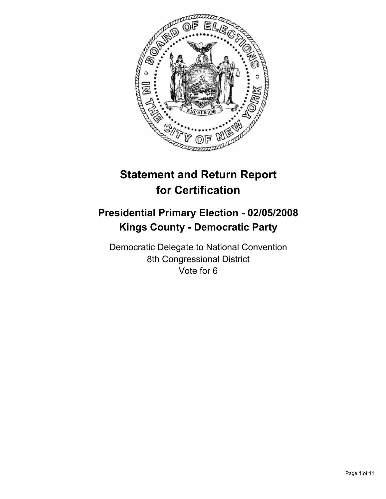

# **Statement and Return Report for Certification**

## **Presidential Primary Election - 02/05/2008 Kings County - Democratic Party**

Democratic Delegate to National Convention 8th Congressional District Vote for 6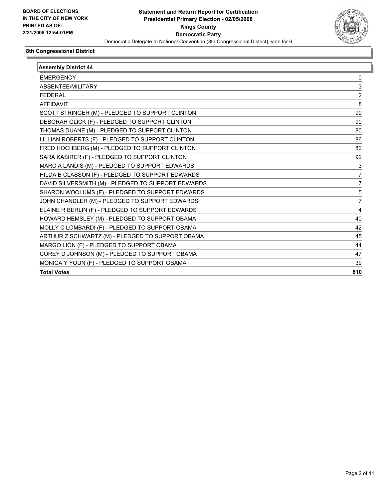

| <b>Assembly District 44</b>                        |     |
|----------------------------------------------------|-----|
| <b>EMERGENCY</b>                                   | 0   |
| ABSENTEE/MILITARY                                  | 3   |
| <b>FEDERAL</b>                                     | 2   |
| <b>AFFIDAVIT</b>                                   | 8   |
| SCOTT STRINGER (M) - PLEDGED TO SUPPORT CLINTON    | 90  |
| DEBORAH GLICK (F) - PLEDGED TO SUPPORT CLINTON     | 90  |
| THOMAS DUANE (M) - PLEDGED TO SUPPORT CLINTON      | 80  |
| LILLIAN ROBERTS (F) - PLEDGED TO SUPPORT CLINTON   | 86  |
| FRED HOCHBERG (M) - PLEDGED TO SUPPORT CLINTON     | 82  |
| SARA KASIRER (F) - PLEDGED TO SUPPORT CLINTON      | 92  |
| MARC A LANDIS (M) - PLEDGED TO SUPPORT EDWARDS     | 3   |
| HILDA B CLASSON (F) - PLEDGED TO SUPPORT EDWARDS   | 7   |
| DAVID SILVERSMITH (M) - PLEDGED TO SUPPORT EDWARDS | 7   |
| SHARON WOOLUMS (F) - PLEDGED TO SUPPORT EDWARDS    | 5   |
| JOHN CHANDLER (M) - PLEDGED TO SUPPORT EDWARDS     |     |
| ELAINE R BERLIN (F) - PLEDGED TO SUPPORT EDWARDS   | 4   |
| HOWARD HEMSLEY (M) - PLEDGED TO SUPPORT OBAMA      | 40  |
| MOLLY C LOMBARDI (F) - PLEDGED TO SUPPORT OBAMA    | 42  |
| ARTHUR Z SCHWARTZ (M) - PLEDGED TO SUPPORT OBAMA   | 45  |
| MARGO LION (F) - PLEDGED TO SUPPORT OBAMA          | 44  |
| COREY D JOHNSON (M) - PLEDGED TO SUPPORT OBAMA     | 47  |
| MONICA Y YOUN (F) - PLEDGED TO SUPPORT OBAMA       | 39  |
| <b>Total Votes</b>                                 | 810 |
|                                                    |     |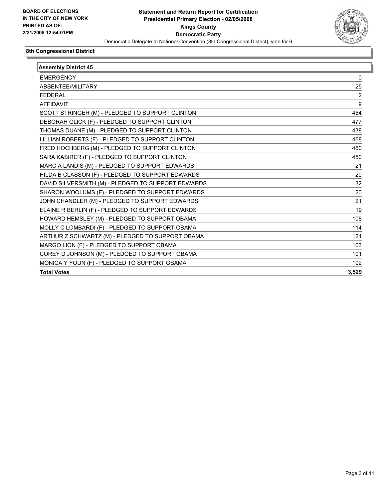

| <b>Assembly District 45</b>                        |                |
|----------------------------------------------------|----------------|
| <b>EMERGENCY</b>                                   | 0              |
| ABSENTEE/MILITARY                                  | 25             |
| <b>FEDERAL</b>                                     | $\overline{c}$ |
| <b>AFFIDAVIT</b>                                   | 9              |
| SCOTT STRINGER (M) - PLEDGED TO SUPPORT CLINTON    | 454            |
| DEBORAH GLICK (F) - PLEDGED TO SUPPORT CLINTON     | 477            |
| THOMAS DUANE (M) - PLEDGED TO SUPPORT CLINTON      | 438            |
| LILLIAN ROBERTS (F) - PLEDGED TO SUPPORT CLINTON   | 468            |
| FRED HOCHBERG (M) - PLEDGED TO SUPPORT CLINTON     | 460            |
| SARA KASIRER (F) - PLEDGED TO SUPPORT CLINTON      | 450            |
| MARC A LANDIS (M) - PLEDGED TO SUPPORT EDWARDS     | 21             |
| HILDA B CLASSON (F) - PLEDGED TO SUPPORT EDWARDS   | 20             |
| DAVID SILVERSMITH (M) - PLEDGED TO SUPPORT EDWARDS | 32             |
| SHARON WOOLUMS (F) - PLEDGED TO SUPPORT EDWARDS    | 20             |
| JOHN CHANDLER (M) - PLEDGED TO SUPPORT EDWARDS     | 21             |
| ELAINE R BERLIN (F) - PLEDGED TO SUPPORT EDWARDS   | 19             |
| HOWARD HEMSLEY (M) - PLEDGED TO SUPPORT OBAMA      | 108            |
| MOLLY C LOMBARDI (F) - PLEDGED TO SUPPORT OBAMA    | 114            |
| ARTHUR Z SCHWARTZ (M) - PLEDGED TO SUPPORT OBAMA   | 121            |
| MARGO LION (F) - PLEDGED TO SUPPORT OBAMA          | 103            |
| COREY D JOHNSON (M) - PLEDGED TO SUPPORT OBAMA     | 101            |
| MONICA Y YOUN (F) - PLEDGED TO SUPPORT OBAMA       | 102            |
| <b>Total Votes</b>                                 | 3,529          |
|                                                    |                |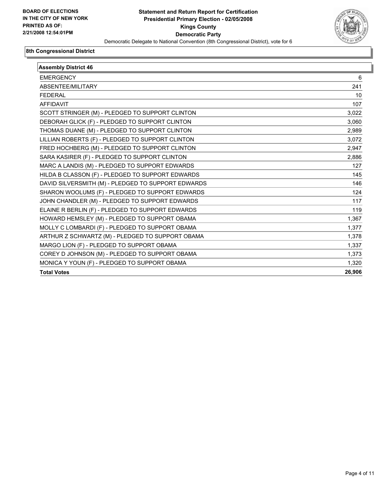

| <b>Assembly District 46</b>                        |        |
|----------------------------------------------------|--------|
| <b>EMERGENCY</b>                                   | 6      |
| ABSENTEE/MILITARY                                  | 241    |
| <b>FEDERAL</b>                                     | 10     |
| <b>AFFIDAVIT</b>                                   | 107    |
| SCOTT STRINGER (M) - PLEDGED TO SUPPORT CLINTON    | 3,022  |
| DEBORAH GLICK (F) - PLEDGED TO SUPPORT CLINTON     | 3,060  |
| THOMAS DUANE (M) - PLEDGED TO SUPPORT CLINTON      | 2,989  |
| LILLIAN ROBERTS (F) - PLEDGED TO SUPPORT CLINTON   | 3,072  |
| FRED HOCHBERG (M) - PLEDGED TO SUPPORT CLINTON     | 2,947  |
| SARA KASIRER (F) - PLEDGED TO SUPPORT CLINTON      | 2,886  |
| MARC A LANDIS (M) - PLEDGED TO SUPPORT EDWARDS     | 127    |
| HILDA B CLASSON (F) - PLEDGED TO SUPPORT EDWARDS   | 145    |
| DAVID SILVERSMITH (M) - PLEDGED TO SUPPORT EDWARDS | 146    |
| SHARON WOOLUMS (F) - PLEDGED TO SUPPORT EDWARDS    | 124    |
| JOHN CHANDLER (M) - PLEDGED TO SUPPORT EDWARDS     | 117    |
| ELAINE R BERLIN (F) - PLEDGED TO SUPPORT EDWARDS   | 119    |
| HOWARD HEMSLEY (M) - PLEDGED TO SUPPORT OBAMA      | 1,367  |
| MOLLY C LOMBARDI (F) - PLEDGED TO SUPPORT OBAMA    | 1,377  |
| ARTHUR Z SCHWARTZ (M) - PLEDGED TO SUPPORT OBAMA   | 1,378  |
| MARGO LION (F) - PLEDGED TO SUPPORT OBAMA          | 1,337  |
| COREY D JOHNSON (M) - PLEDGED TO SUPPORT OBAMA     | 1,373  |
| MONICA Y YOUN (F) - PLEDGED TO SUPPORT OBAMA       | 1,320  |
| <b>Total Votes</b>                                 | 26,906 |
|                                                    |        |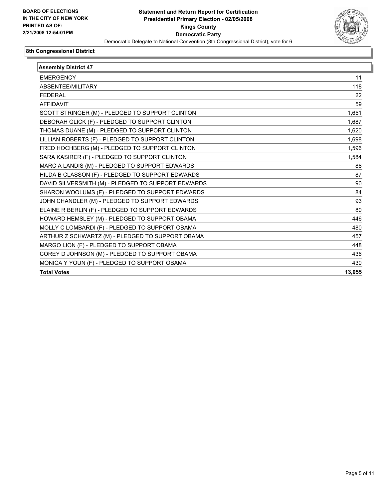

| <b>Assembly District 47</b>                        |        |
|----------------------------------------------------|--------|
| <b>EMERGENCY</b>                                   | 11     |
| ABSENTEE/MILITARY                                  | 118    |
| <b>FEDERAL</b>                                     | 22     |
| <b>AFFIDAVIT</b>                                   | 59     |
| SCOTT STRINGER (M) - PLEDGED TO SUPPORT CLINTON    | 1,651  |
| DEBORAH GLICK (F) - PLEDGED TO SUPPORT CLINTON     | 1,687  |
| THOMAS DUANE (M) - PLEDGED TO SUPPORT CLINTON      | 1,620  |
| LILLIAN ROBERTS (F) - PLEDGED TO SUPPORT CLINTON   | 1,698  |
| FRED HOCHBERG (M) - PLEDGED TO SUPPORT CLINTON     | 1,596  |
| SARA KASIRER (F) - PLEDGED TO SUPPORT CLINTON      | 1,584  |
| MARC A LANDIS (M) - PLEDGED TO SUPPORT EDWARDS     | 88     |
| HILDA B CLASSON (F) - PLEDGED TO SUPPORT EDWARDS   | 87     |
| DAVID SILVERSMITH (M) - PLEDGED TO SUPPORT EDWARDS | 90     |
| SHARON WOOLUMS (F) - PLEDGED TO SUPPORT EDWARDS    | 84     |
| JOHN CHANDLER (M) - PLEDGED TO SUPPORT EDWARDS     | 93     |
| ELAINE R BERLIN (F) - PLEDGED TO SUPPORT EDWARDS   | 80     |
| HOWARD HEMSLEY (M) - PLEDGED TO SUPPORT OBAMA      | 446    |
| MOLLY C LOMBARDI (F) - PLEDGED TO SUPPORT OBAMA    | 480    |
| ARTHUR Z SCHWARTZ (M) - PLEDGED TO SUPPORT OBAMA   | 457    |
| MARGO LION (F) - PLEDGED TO SUPPORT OBAMA          | 448    |
| COREY D JOHNSON (M) - PLEDGED TO SUPPORT OBAMA     | 436    |
| MONICA Y YOUN (F) - PLEDGED TO SUPPORT OBAMA       | 430    |
| <b>Total Votes</b>                                 | 13,055 |
|                                                    |        |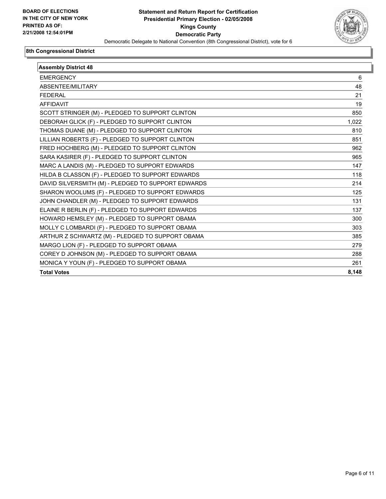

| <b>Assembly District 48</b>                        |       |
|----------------------------------------------------|-------|
| <b>EMERGENCY</b>                                   | 6     |
| ABSENTEE/MILITARY                                  | 48    |
| <b>FEDERAL</b>                                     | 21    |
| <b>AFFIDAVIT</b>                                   | 19    |
| SCOTT STRINGER (M) - PLEDGED TO SUPPORT CLINTON    | 850   |
| DEBORAH GLICK (F) - PLEDGED TO SUPPORT CLINTON     | 1,022 |
| THOMAS DUANE (M) - PLEDGED TO SUPPORT CLINTON      | 810   |
| LILLIAN ROBERTS (F) - PLEDGED TO SUPPORT CLINTON   | 851   |
| FRED HOCHBERG (M) - PLEDGED TO SUPPORT CLINTON     | 962   |
| SARA KASIRER (F) - PLEDGED TO SUPPORT CLINTON      | 965   |
| MARC A LANDIS (M) - PLEDGED TO SUPPORT EDWARDS     | 147   |
| HILDA B CLASSON (F) - PLEDGED TO SUPPORT EDWARDS   | 118   |
| DAVID SILVERSMITH (M) - PLEDGED TO SUPPORT EDWARDS | 214   |
| SHARON WOOLUMS (F) - PLEDGED TO SUPPORT EDWARDS    | 125   |
| JOHN CHANDLER (M) - PLEDGED TO SUPPORT EDWARDS     | 131   |
| ELAINE R BERLIN (F) - PLEDGED TO SUPPORT EDWARDS   | 137   |
| HOWARD HEMSLEY (M) - PLEDGED TO SUPPORT OBAMA      | 300   |
| MOLLY C LOMBARDI (F) - PLEDGED TO SUPPORT OBAMA    | 303   |
| ARTHUR Z SCHWARTZ (M) - PLEDGED TO SUPPORT OBAMA   | 385   |
| MARGO LION (F) - PLEDGED TO SUPPORT OBAMA          | 279   |
| COREY D JOHNSON (M) - PLEDGED TO SUPPORT OBAMA     | 288   |
| MONICA Y YOUN (F) - PLEDGED TO SUPPORT OBAMA       | 261   |
| <b>Total Votes</b>                                 | 8,148 |
|                                                    |       |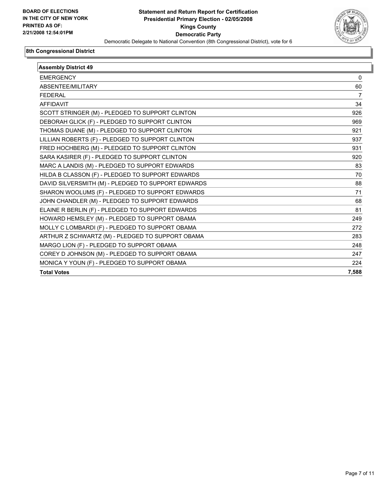

| <b>Assembly District 49</b>                        |       |
|----------------------------------------------------|-------|
| <b>EMERGENCY</b>                                   | 0     |
| ABSENTEE/MILITARY                                  | 60    |
| <b>FEDERAL</b>                                     | 7     |
| <b>AFFIDAVIT</b>                                   | 34    |
| SCOTT STRINGER (M) - PLEDGED TO SUPPORT CLINTON    | 926   |
| DEBORAH GLICK (F) - PLEDGED TO SUPPORT CLINTON     | 969   |
| THOMAS DUANE (M) - PLEDGED TO SUPPORT CLINTON      | 921   |
| LILLIAN ROBERTS (F) - PLEDGED TO SUPPORT CLINTON   | 937   |
| FRED HOCHBERG (M) - PLEDGED TO SUPPORT CLINTON     | 931   |
| SARA KASIRER (F) - PLEDGED TO SUPPORT CLINTON      | 920   |
| MARC A LANDIS (M) - PLEDGED TO SUPPORT EDWARDS     | 83    |
| HILDA B CLASSON (F) - PLEDGED TO SUPPORT EDWARDS   | 70    |
| DAVID SILVERSMITH (M) - PLEDGED TO SUPPORT EDWARDS | 88    |
| SHARON WOOLUMS (F) - PLEDGED TO SUPPORT EDWARDS    | 71    |
| JOHN CHANDLER (M) - PLEDGED TO SUPPORT EDWARDS     | 68    |
| ELAINE R BERLIN (F) - PLEDGED TO SUPPORT EDWARDS   | 81    |
| HOWARD HEMSLEY (M) - PLEDGED TO SUPPORT OBAMA      | 249   |
| MOLLY C LOMBARDI (F) - PLEDGED TO SUPPORT OBAMA    | 272   |
| ARTHUR Z SCHWARTZ (M) - PLEDGED TO SUPPORT OBAMA   | 283   |
| MARGO LION (F) - PLEDGED TO SUPPORT OBAMA          | 248   |
| COREY D JOHNSON (M) - PLEDGED TO SUPPORT OBAMA     | 247   |
| MONICA Y YOUN (F) - PLEDGED TO SUPPORT OBAMA       | 224   |
| <b>Total Votes</b>                                 | 7,588 |
|                                                    |       |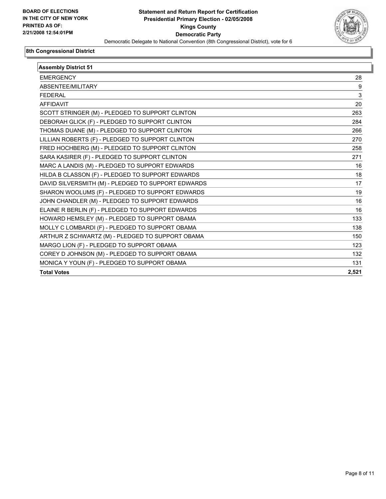

| <b>Assembly District 51</b>                        |       |
|----------------------------------------------------|-------|
| <b>EMERGENCY</b>                                   | 28    |
| ABSENTEE/MILITARY                                  | 9     |
| <b>FEDERAL</b>                                     | 3     |
| <b>AFFIDAVIT</b>                                   | 20    |
| SCOTT STRINGER (M) - PLEDGED TO SUPPORT CLINTON    | 263   |
| DEBORAH GLICK (F) - PLEDGED TO SUPPORT CLINTON     | 284   |
| THOMAS DUANE (M) - PLEDGED TO SUPPORT CLINTON      | 266   |
| LILLIAN ROBERTS (F) - PLEDGED TO SUPPORT CLINTON   | 270   |
| FRED HOCHBERG (M) - PLEDGED TO SUPPORT CLINTON     | 258   |
| SARA KASIRER (F) - PLEDGED TO SUPPORT CLINTON      | 271   |
| MARC A LANDIS (M) - PLEDGED TO SUPPORT EDWARDS     | 16    |
| HILDA B CLASSON (F) - PLEDGED TO SUPPORT EDWARDS   | 18    |
| DAVID SILVERSMITH (M) - PLEDGED TO SUPPORT EDWARDS | 17    |
| SHARON WOOLUMS (F) - PLEDGED TO SUPPORT EDWARDS    | 19    |
| JOHN CHANDLER (M) - PLEDGED TO SUPPORT EDWARDS     | 16    |
| ELAINE R BERLIN (F) - PLEDGED TO SUPPORT EDWARDS   | 16    |
| HOWARD HEMSLEY (M) - PLEDGED TO SUPPORT OBAMA      | 133   |
| MOLLY C LOMBARDI (F) - PLEDGED TO SUPPORT OBAMA    | 138   |
| ARTHUR Z SCHWARTZ (M) - PLEDGED TO SUPPORT OBAMA   | 150   |
| MARGO LION (F) - PLEDGED TO SUPPORT OBAMA          | 123   |
| COREY D JOHNSON (M) - PLEDGED TO SUPPORT OBAMA     | 132   |
| MONICA Y YOUN (F) - PLEDGED TO SUPPORT OBAMA       | 131   |
| <b>Total Votes</b>                                 | 2,521 |
|                                                    |       |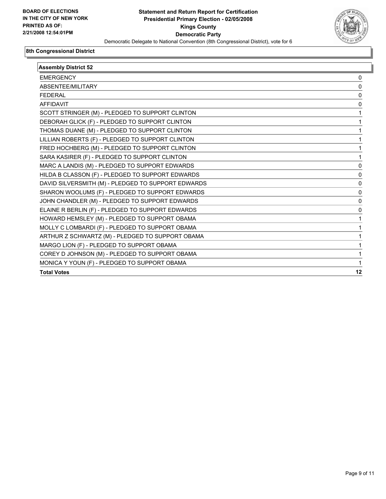

| <b>Assembly District 52</b>                        |    |
|----------------------------------------------------|----|
| <b>EMERGENCY</b>                                   | 0  |
| ABSENTEE/MILITARY                                  |    |
| <b>FEDERAL</b>                                     |    |
| <b>AFFIDAVIT</b>                                   |    |
| SCOTT STRINGER (M) - PLEDGED TO SUPPORT CLINTON    |    |
| DEBORAH GLICK (F) - PLEDGED TO SUPPORT CLINTON     |    |
| THOMAS DUANE (M) - PLEDGED TO SUPPORT CLINTON      |    |
| LILLIAN ROBERTS (F) - PLEDGED TO SUPPORT CLINTON   |    |
| FRED HOCHBERG (M) - PLEDGED TO SUPPORT CLINTON     |    |
| SARA KASIRER (F) - PLEDGED TO SUPPORT CLINTON      |    |
| MARC A LANDIS (M) - PLEDGED TO SUPPORT EDWARDS     |    |
| HILDA B CLASSON (F) - PLEDGED TO SUPPORT EDWARDS   |    |
| DAVID SILVERSMITH (M) - PLEDGED TO SUPPORT EDWARDS |    |
| SHARON WOOLUMS (F) - PLEDGED TO SUPPORT EDWARDS    |    |
| JOHN CHANDLER (M) - PLEDGED TO SUPPORT EDWARDS     | 0  |
| ELAINE R BERLIN (F) - PLEDGED TO SUPPORT EDWARDS   |    |
| HOWARD HEMSLEY (M) - PLEDGED TO SUPPORT OBAMA      |    |
| MOLLY C LOMBARDI (F) - PLEDGED TO SUPPORT OBAMA    |    |
| ARTHUR Z SCHWARTZ (M) - PLEDGED TO SUPPORT OBAMA   |    |
| MARGO LION (F) - PLEDGED TO SUPPORT OBAMA          |    |
| COREY D JOHNSON (M) - PLEDGED TO SUPPORT OBAMA     |    |
| MONICA Y YOUN (F) - PLEDGED TO SUPPORT OBAMA       |    |
| <b>Total Votes</b>                                 | 12 |
|                                                    |    |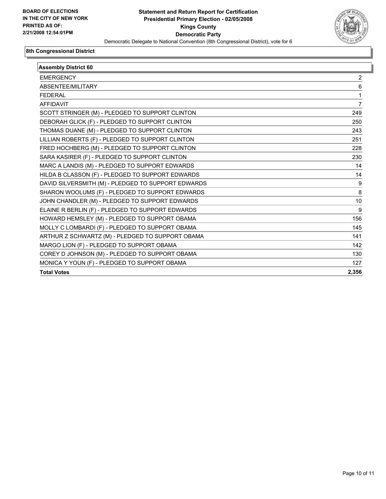

| <b>Assembly District 60</b>                        |       |
|----------------------------------------------------|-------|
| <b>EMERGENCY</b>                                   | 2     |
| ABSENTEE/MILITARY                                  | 6     |
| <b>FEDERAL</b>                                     |       |
| <b>AFFIDAVIT</b>                                   | 7     |
| SCOTT STRINGER (M) - PLEDGED TO SUPPORT CLINTON    | 249   |
| DEBORAH GLICK (F) - PLEDGED TO SUPPORT CLINTON     | 250   |
| THOMAS DUANE (M) - PLEDGED TO SUPPORT CLINTON      | 243   |
| LILLIAN ROBERTS (F) - PLEDGED TO SUPPORT CLINTON   | 251   |
| FRED HOCHBERG (M) - PLEDGED TO SUPPORT CLINTON     | 228   |
| SARA KASIRER (F) - PLEDGED TO SUPPORT CLINTON      | 230   |
| MARC A LANDIS (M) - PLEDGED TO SUPPORT EDWARDS     | 14    |
| HILDA B CLASSON (F) - PLEDGED TO SUPPORT EDWARDS   | 14    |
| DAVID SILVERSMITH (M) - PLEDGED TO SUPPORT EDWARDS | 9     |
| SHARON WOOLUMS (F) - PLEDGED TO SUPPORT EDWARDS    | 8     |
| JOHN CHANDLER (M) - PLEDGED TO SUPPORT EDWARDS     | 10    |
| ELAINE R BERLIN (F) - PLEDGED TO SUPPORT EDWARDS   | 9     |
| HOWARD HEMSLEY (M) - PLEDGED TO SUPPORT OBAMA      | 156   |
| MOLLY C LOMBARDI (F) - PLEDGED TO SUPPORT OBAMA    | 145   |
| ARTHUR Z SCHWARTZ (M) - PLEDGED TO SUPPORT OBAMA   | 141   |
| MARGO LION (F) - PLEDGED TO SUPPORT OBAMA          | 142   |
| COREY D JOHNSON (M) - PLEDGED TO SUPPORT OBAMA     | 130   |
| MONICA Y YOUN (F) - PLEDGED TO SUPPORT OBAMA       | 127   |
| <b>Total Votes</b>                                 | 2,356 |
|                                                    |       |